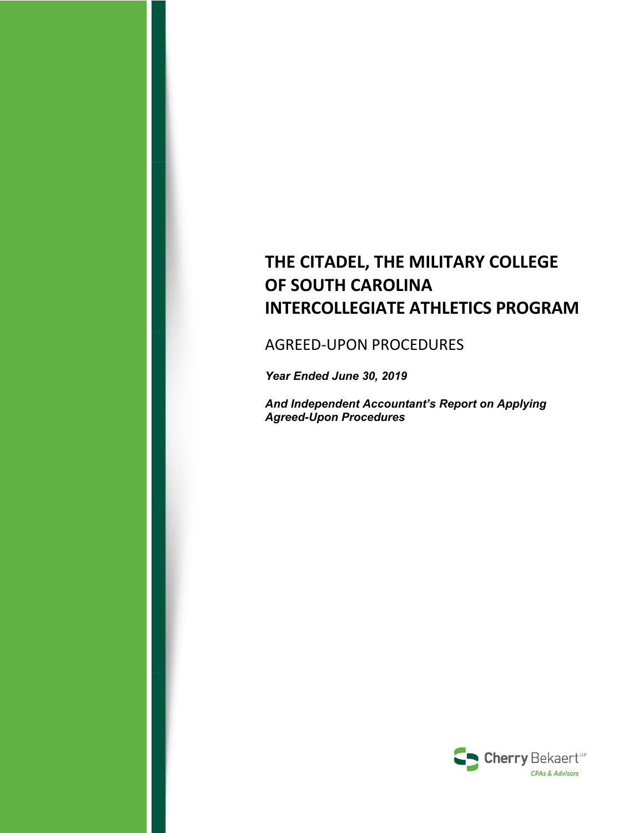# **THE CITADEL, THE MILITARY COLLEGE OF SOUTH CAROLINA INTERCOLLEGIATE ATHLETICS PROGRAM**

# AGREED‐UPON PROCEDURES

*Year Ended June 30, 2019* 

*And Independent Accountant's Report on Applying Agreed-Upon Procedures* 

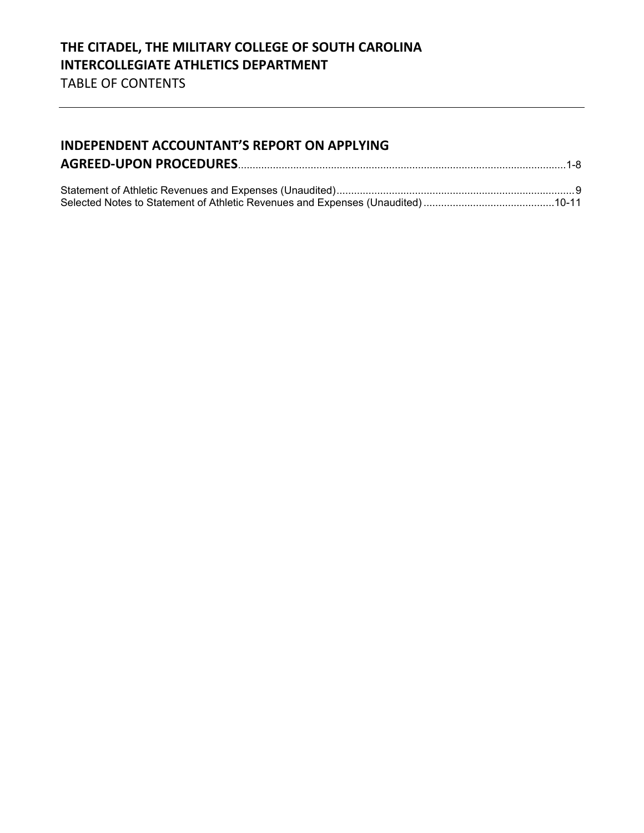# **INDEPENDENT ACCOUNTANT'S REPORT ON APPLYING AGREED‐UPON PROCEDURES**.................................................................................................................1-8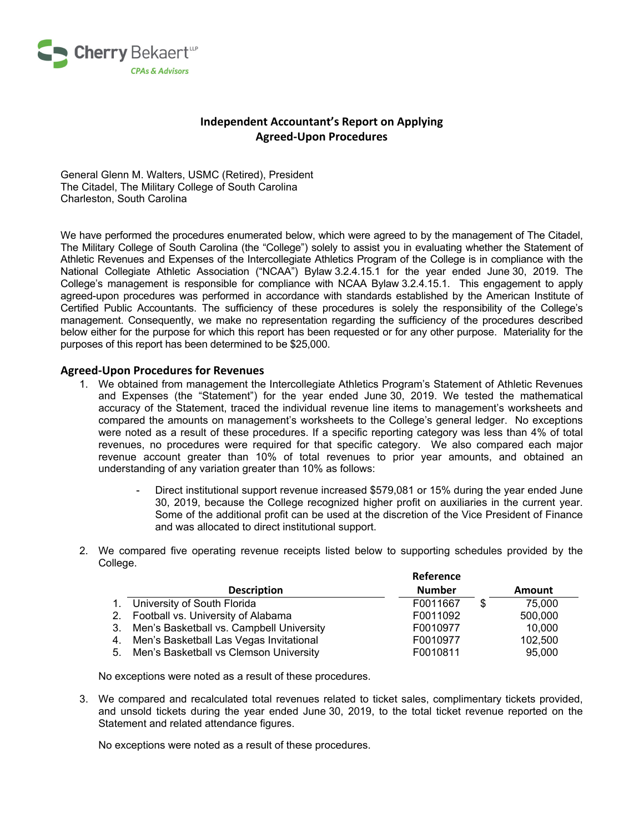

# **Independent Accountant's Report on Applying Agreed‐Upon Procedures**

General Glenn M. Walters, USMC (Retired), President The Citadel, The Military College of South Carolina Charleston, South Carolina

We have performed the procedures enumerated below, which were agreed to by the management of The Citadel, The Military College of South Carolina (the "College") solely to assist you in evaluating whether the Statement of Athletic Revenues and Expenses of the Intercollegiate Athletics Program of the College is in compliance with the National Collegiate Athletic Association ("NCAA") Bylaw 3.2.4.15.1 for the year ended June 30, 2019. The College's management is responsible for compliance with NCAA Bylaw 3.2.4.15.1. This engagement to apply agreed-upon procedures was performed in accordance with standards established by the American Institute of Certified Public Accountants. The sufficiency of these procedures is solely the responsibility of the College's management. Consequently, we make no representation regarding the sufficiency of the procedures described below either for the purpose for which this report has been requested or for any other purpose. Materiality for the purposes of this report has been determined to be \$25,000.

#### **Agreed‐Upon Procedures for Revenues**

- 1. We obtained from management the Intercollegiate Athletics Program's Statement of Athletic Revenues and Expenses (the "Statement") for the year ended June 30, 2019. We tested the mathematical accuracy of the Statement, traced the individual revenue line items to management's worksheets and compared the amounts on management's worksheets to the College's general ledger. No exceptions were noted as a result of these procedures. If a specific reporting category was less than 4% of total revenues, no procedures were required for that specific category. We also compared each major revenue account greater than 10% of total revenues to prior year amounts, and obtained an understanding of any variation greater than 10% as follows:
	- Direct institutional support revenue increased \$579,081 or 15% during the year ended June 30, 2019, because the College recognized higher profit on auxiliaries in the current year. Some of the additional profit can be used at the discretion of the Vice President of Finance and was allocated to direct institutional support.

**Reference**

2. We compared five operating revenue receipts listed below to supporting schedules provided by the College.

|                                             | Reference     |   |         |  |
|---------------------------------------------|---------------|---|---------|--|
| <b>Description</b>                          | <b>Number</b> |   | Amount  |  |
| 1. University of South Florida              | F0011667      | S | 75.000  |  |
| 2. Football vs. University of Alabama       | F0011092      |   | 500,000 |  |
| 3. Men's Basketball vs. Campbell University | F0010977      |   | 10.000  |  |
| 4. Men's Basketball Las Vegas Invitational  | F0010977      |   | 102,500 |  |
| 5. Men's Basketball vs Clemson University   | F0010811      |   | 95,000  |  |
|                                             |               |   |         |  |

No exceptions were noted as a result of these procedures.

3. We compared and recalculated total revenues related to ticket sales, complimentary tickets provided, and unsold tickets during the year ended June 30, 2019, to the total ticket revenue reported on the Statement and related attendance figures.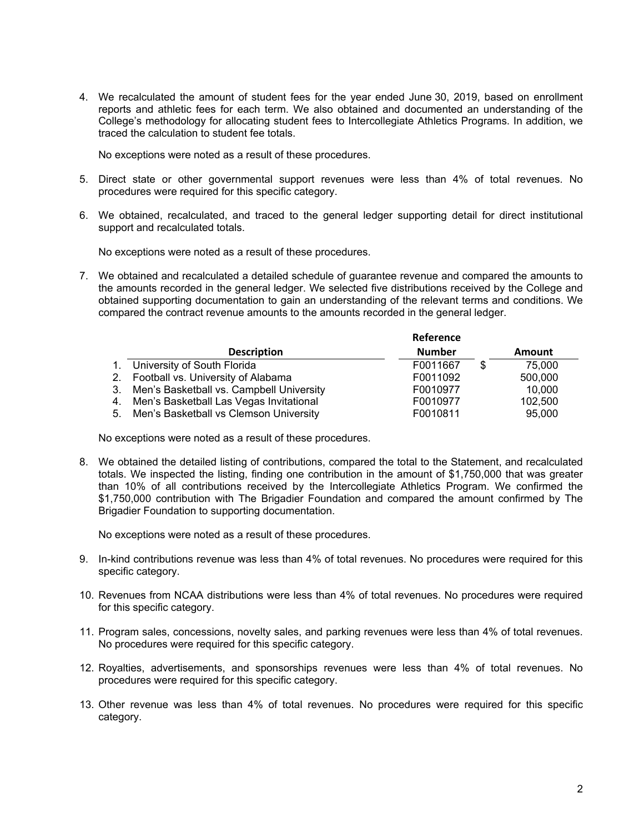4. We recalculated the amount of student fees for the year ended June 30, 2019, based on enrollment reports and athletic fees for each term. We also obtained and documented an understanding of the College's methodology for allocating student fees to Intercollegiate Athletics Programs. In addition, we traced the calculation to student fee totals.

No exceptions were noted as a result of these procedures.

- 5. Direct state or other governmental support revenues were less than 4% of total revenues. No procedures were required for this specific category.
- 6. We obtained, recalculated, and traced to the general ledger supporting detail for direct institutional support and recalculated totals.

No exceptions were noted as a result of these procedures.

7. We obtained and recalculated a detailed schedule of guarantee revenue and compared the amounts to the amounts recorded in the general ledger. We selected five distributions received by the College and obtained supporting documentation to gain an understanding of the relevant terms and conditions. We compared the contract revenue amounts to the amounts recorded in the general ledger.

|    |                                           | Reference     |   |               |
|----|-------------------------------------------|---------------|---|---------------|
|    | <b>Description</b>                        | <b>Number</b> |   | <b>Amount</b> |
|    | University of South Florida               | F0011667      | S | 75,000        |
| 2. | Football vs. University of Alabama        | F0011092      |   | 500,000       |
| 3. | Men's Basketball vs. Campbell University  | F0010977      |   | 10,000        |
| 4. | Men's Basketball Las Vegas Invitational   | F0010977      |   | 102,500       |
|    | 5. Men's Basketball vs Clemson University | F0010811      |   | 95,000        |

No exceptions were noted as a result of these procedures.

8. We obtained the detailed listing of contributions, compared the total to the Statement, and recalculated totals. We inspected the listing, finding one contribution in the amount of \$1,750,000 that was greater than 10% of all contributions received by the Intercollegiate Athletics Program. We confirmed the \$1,750,000 contribution with The Brigadier Foundation and compared the amount confirmed by The Brigadier Foundation to supporting documentation.

- 9. In-kind contributions revenue was less than 4% of total revenues. No procedures were required for this specific category.
- 10. Revenues from NCAA distributions were less than 4% of total revenues. No procedures were required for this specific category.
- 11. Program sales, concessions, novelty sales, and parking revenues were less than 4% of total revenues. No procedures were required for this specific category.
- 12. Royalties, advertisements, and sponsorships revenues were less than 4% of total revenues. No procedures were required for this specific category.
- 13. Other revenue was less than 4% of total revenues. No procedures were required for this specific category.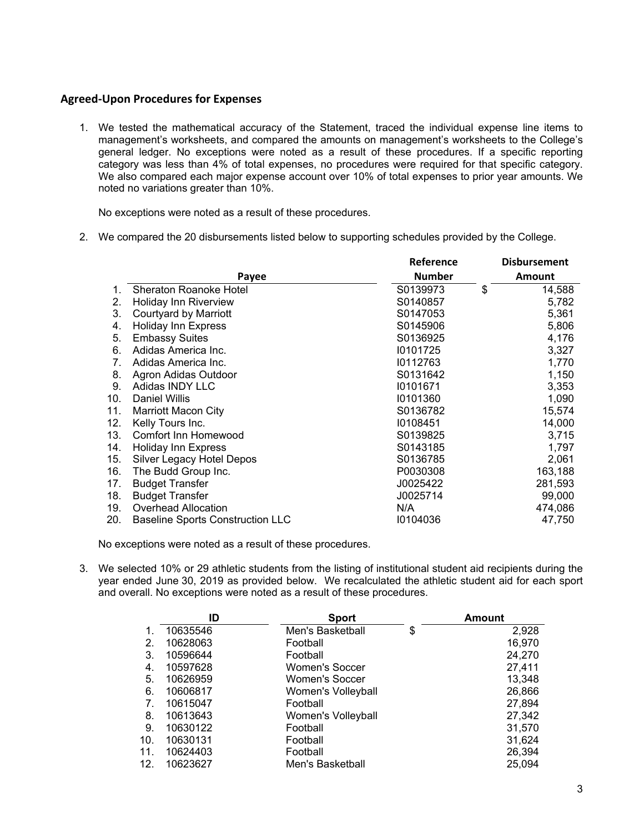#### **Agreed‐Upon Procedures for Expenses**

1. We tested the mathematical accuracy of the Statement, traced the individual expense line items to management's worksheets, and compared the amounts on management's worksheets to the College's general ledger. No exceptions were noted as a result of these procedures. If a specific reporting category was less than 4% of total expenses, no procedures were required for that specific category. We also compared each major expense account over 10% of total expenses to prior year amounts. We noted no variations greater than 10%.

No exceptions were noted as a result of these procedures.

2. We compared the 20 disbursements listed below to supporting schedules provided by the College.

|     |                                         | Reference     | <b>Disbursement</b> |
|-----|-----------------------------------------|---------------|---------------------|
|     | Payee                                   | <b>Number</b> | Amount              |
| 1.  | Sheraton Roanoke Hotel                  | S0139973      | \$<br>14,588        |
| 2.  | <b>Holiday Inn Riverview</b>            | S0140857      | 5,782               |
| 3.  | Courtyard by Marriott                   | S0147053      | 5,361               |
| 4.  | <b>Holiday Inn Express</b>              | S0145906      | 5,806               |
| 5.  | <b>Embassy Suites</b>                   | S0136925      | 4,176               |
| 6.  | Adidas America Inc.                     | 10101725      | 3,327               |
| 7.  | Adidas America Inc.                     | 10112763      | 1,770               |
| 8.  | Agron Adidas Outdoor                    | S0131642      | 1,150               |
| 9.  | Adidas INDY LLC                         | 10101671      | 3,353               |
| 10. | <b>Daniel Willis</b>                    | 10101360      | 1,090               |
| 11. | <b>Marriott Macon City</b>              | S0136782      | 15,574              |
| 12. | Kelly Tours Inc.                        | 10108451      | 14,000              |
| 13. | <b>Comfort Inn Homewood</b>             | S0139825      | 3,715               |
| 14. | <b>Holiday Inn Express</b>              | S0143185      | 1,797               |
| 15. | Silver Legacy Hotel Depos               | S0136785      | 2,061               |
| 16. | The Budd Group Inc.                     | P0030308      | 163,188             |
| 17. | <b>Budget Transfer</b>                  | J0025422      | 281,593             |
| 18. | <b>Budget Transfer</b>                  | J0025714      | 99,000              |
| 19. | <b>Overhead Allocation</b>              | N/A           | 474,086             |
| 20. | <b>Baseline Sports Construction LLC</b> | 10104036      | 47,750              |

No exceptions were noted as a result of these procedures.

3. We selected 10% or 29 athletic students from the listing of institutional student aid recipients during the year ended June 30, 2019 as provided below. We recalculated the athletic student aid for each sport and overall. No exceptions were noted as a result of these procedures.

|     | ID       | <b>Sport</b>          | <b>Amount</b> |
|-----|----------|-----------------------|---------------|
| 1.  | 10635546 | Men's Basketball      | \$<br>2,928   |
| 2.  | 10628063 | Football              | 16,970        |
| 3.  | 10596644 | Football              | 24,270        |
| 4.  | 10597628 | <b>Women's Soccer</b> | 27,411        |
| 5.  | 10626959 | <b>Women's Soccer</b> | 13,348        |
| 6.  | 10606817 | Women's Volleyball    | 26,866        |
| 7.  | 10615047 | Football              | 27,894        |
| 8.  | 10613643 | Women's Volleyball    | 27,342        |
| 9.  | 10630122 | Football              | 31,570        |
| 10. | 10630131 | Football              | 31,624        |
| 11. | 10624403 | Football              | 26,394        |
| 12. | 10623627 | Men's Basketball      | 25,094        |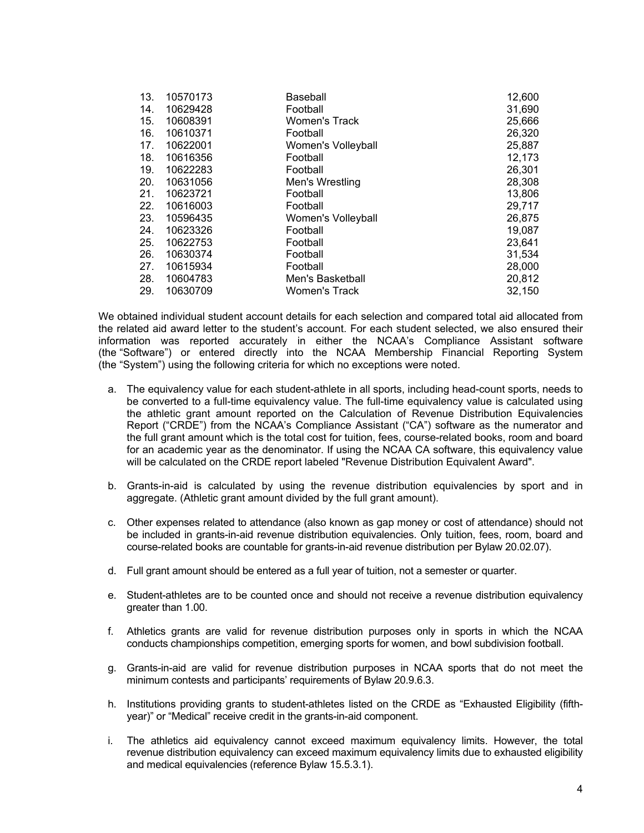| 13. | 10570173 | Baseball             | 12,600 |
|-----|----------|----------------------|--------|
| 14. | 10629428 | Football             | 31,690 |
| 15. | 10608391 | <b>Women's Track</b> | 25,666 |
| 16. | 10610371 | Football             | 26,320 |
| 17. | 10622001 | Women's Volleyball   | 25,887 |
| 18. | 10616356 | Football             | 12,173 |
| 19. | 10622283 | Football             | 26,301 |
| 20. | 10631056 | Men's Wrestling      | 28,308 |
| 21. | 10623721 | Football             | 13,806 |
| 22. | 10616003 | Football             | 29,717 |
| 23. | 10596435 | Women's Volleyball   | 26,875 |
| 24. | 10623326 | Football             | 19,087 |
| 25. | 10622753 | Football             | 23,641 |
| 26. | 10630374 | Football             | 31,534 |
| 27. | 10615934 | Football             | 28,000 |
| 28. | 10604783 | Men's Basketball     | 20,812 |
| 29. | 10630709 | Women's Track        | 32,150 |

We obtained individual student account details for each selection and compared total aid allocated from the related aid award letter to the student's account. For each student selected, we also ensured their information was reported accurately in either the NCAA's Compliance Assistant software (the "Software") or entered directly into the NCAA Membership Financial Reporting System (the "System") using the following criteria for which no exceptions were noted.

- a. The equivalency value for each student-athlete in all sports, including head-count sports, needs to be converted to a full-time equivalency value. The full-time equivalency value is calculated using the athletic grant amount reported on the Calculation of Revenue Distribution Equivalencies Report ("CRDE") from the NCAA's Compliance Assistant ("CA") software as the numerator and the full grant amount which is the total cost for tuition, fees, course-related books, room and board for an academic year as the denominator. If using the NCAA CA software, this equivalency value will be calculated on the CRDE report labeled "Revenue Distribution Equivalent Award".
- b. Grants-in-aid is calculated by using the revenue distribution equivalencies by sport and in aggregate. (Athletic grant amount divided by the full grant amount).
- c. Other expenses related to attendance (also known as gap money or cost of attendance) should not be included in grants-in-aid revenue distribution equivalencies. Only tuition, fees, room, board and course-related books are countable for grants-in-aid revenue distribution per Bylaw [20.02.07](https://20.02.07)).
- d. Full grant amount should be entered as a full year of tuition, not a semester or quarter.
- e. Student-athletes are to be counted once and should not receive a revenue distribution equivalency greater than 1.00.
- f. Athletics grants are valid for revenue distribution purposes only in sports in which the NCAA conducts championships competition, emerging sports for women, and bowl subdivision football.
- g. Grants-in-aid are valid for revenue distribution purposes in NCAA sports that do not meet the minimum contests and participants' requirements of Bylaw 20.9.6.3.
- h. Institutions providing grants to student-athletes listed on the CRDE as "Exhausted Eligibility (fifthyear)" or "Medical" receive credit in the grants-in-aid component.
- i. The athletics aid equivalency cannot exceed maximum equivalency limits. However, the total revenue distribution equivalency can exceed maximum equivalency limits due to exhausted eligibility and medical equivalencies (reference Bylaw 15.5.3.1).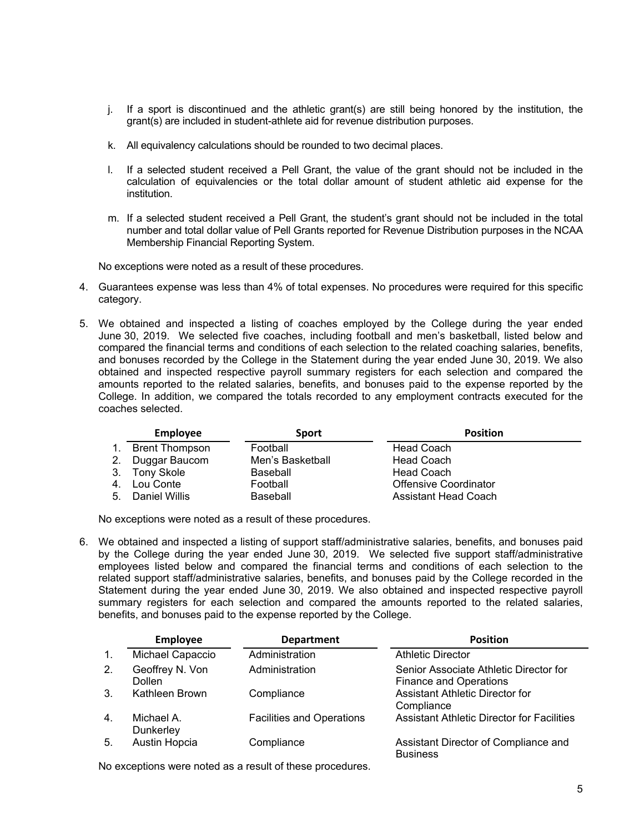- j. If a sport is discontinued and the athletic grant(s) are still being honored by the institution, the grant(s) are included in student-athlete aid for revenue distribution purposes.
- k. All equivalency calculations should be rounded to two decimal places.
- l. If a selected student received a Pell Grant, the value of the grant should not be included in the calculation of equivalencies or the total dollar amount of student athletic aid expense for the institution.
- m. If a selected student received a Pell Grant, the student's grant should not be included in the total number and total dollar value of Pell Grants reported for Revenue Distribution purposes in the NCAA Membership Financial Reporting System.

No exceptions were noted as a result of these procedures.

- 4. Guarantees expense was less than 4% of total expenses. No procedures were required for this specific category.
- 5. We obtained and inspected a listing of coaches employed by the College during the year ended June 30, 2019. We selected five coaches, including football and men's basketball, listed below and compared the financial terms and conditions of each selection to the related coaching salaries, benefits, and bonuses recorded by the College in the Statement during the year ended June 30, 2019. We also obtained and inspected respective payroll summary registers for each selection and compared the amounts reported to the related salaries, benefits, and bonuses paid to the expense reported by the College. In addition, we compared the totals recorded to any employment contracts executed for the coaches selected.

|                | <b>Employee</b>       | <b>Sport</b>     | <b>Position</b>              |
|----------------|-----------------------|------------------|------------------------------|
| $\mathbf{1}$ . | <b>Brent Thompson</b> | Football         | <b>Head Coach</b>            |
| 2.             | Duggar Baucom         | Men's Basketball | <b>Head Coach</b>            |
|                | 3. Tony Skole         | Baseball         | <b>Head Coach</b>            |
|                | 4. Lou Conte          | Football         | <b>Offensive Coordinator</b> |
|                | 5. Daniel Willis      | Baseball         | Assistant Head Coach         |

No exceptions were noted as a result of these procedures.

6. We obtained and inspected a listing of support staff/administrative salaries, benefits, and bonuses paid by the College during the year ended June 30, 2019. We selected five support staff/administrative employees listed below and compared the financial terms and conditions of each selection to the related support staff/administrative salaries, benefits, and bonuses paid by the College recorded in the Statement during the year ended June 30, 2019. We also obtained and inspected respective payroll summary registers for each selection and compared the amounts reported to the related salaries, benefits, and bonuses paid to the expense reported by the College.

|                  | Employee                         | <b>Department</b>                | <b>Position</b>                                                         |
|------------------|----------------------------------|----------------------------------|-------------------------------------------------------------------------|
| $\mathbf{1}$ .   | Michael Capaccio                 | Administration                   | <b>Athletic Director</b>                                                |
| 2.               | Geoffrey N. Von<br><b>Dollen</b> | Administration                   | Senior Associate Athletic Director for<br><b>Finance and Operations</b> |
| 3.               | Kathleen Brown                   | Compliance                       | <b>Assistant Athletic Director for</b><br>Compliance                    |
| $\overline{4}$ . | Michael A.<br>Dunkerley          | <b>Facilities and Operations</b> | <b>Assistant Athletic Director for Facilities</b>                       |
| 5.               | Austin Hopcia                    | Compliance                       | Assistant Director of Compliance and<br><b>Business</b>                 |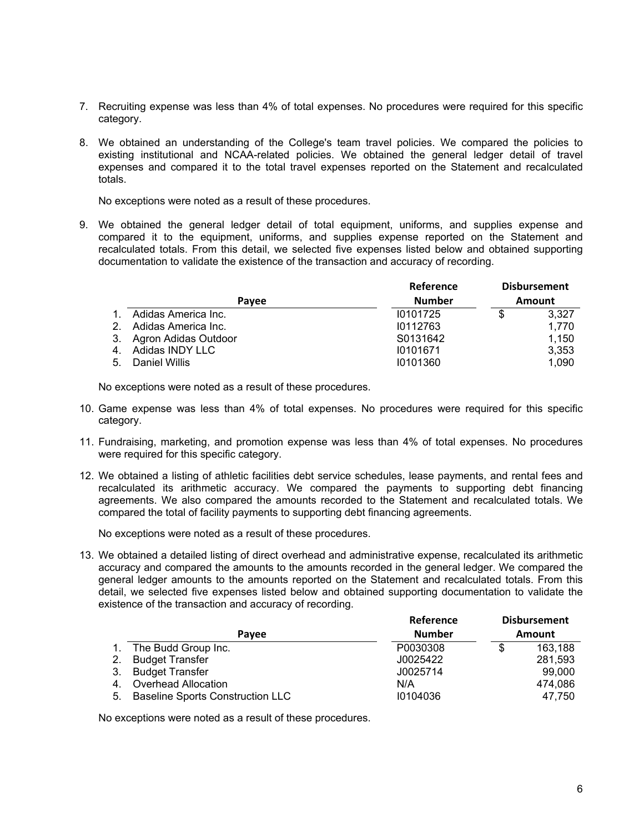- 7. Recruiting expense was less than 4% of total expenses. No procedures were required for this specific category.
- 8. We obtained an understanding of the College's team travel policies. We compared the policies to existing institutional and NCAA-related policies. We obtained the general ledger detail of travel expenses and compared it to the total travel expenses reported on the Statement and recalculated totals.

No exceptions were noted as a result of these procedures.

9. We obtained the general ledger detail of total equipment, uniforms, and supplies expense and compared it to the equipment, uniforms, and supplies expense reported on the Statement and recalculated totals. From this detail, we selected five expenses listed below and obtained supporting documentation to validate the existence of the transaction and accuracy of recording.

|                |                         | <b>Reference</b> | <b>Disbursement</b> |
|----------------|-------------------------|------------------|---------------------|
|                | Pavee                   | <b>Number</b>    | Amount              |
|                | Adidas America Inc.     | 10101725         | \$<br>3.327         |
| 2 <sub>1</sub> | Adidas America Inc.     | 10112763         | 1.770               |
|                | 3. Agron Adidas Outdoor | S0131642         | 1,150               |
|                | 4. Adidas INDY LLC      | 10101671         | 3,353               |
| 5.             | Daniel Willis           | 10101360         | 1.090               |

No exceptions were noted as a result of these procedures.

- 10. Game expense was less than 4% of total expenses. No procedures were required for this specific category.
- 11. Fundraising, marketing, and promotion expense was less than 4% of total expenses. No procedures were required for this specific category.
- 12. We obtained a listing of athletic facilities debt service schedules, lease payments, and rental fees and recalculated its arithmetic accuracy. We compared the payments to supporting debt financing agreements. We also compared the amounts recorded to the Statement and recalculated totals. We compared the total of facility payments to supporting debt financing agreements.

No exceptions were noted as a result of these procedures.

13. We obtained a detailed listing of direct overhead and administrative expense, recalculated its arithmetic accuracy and compared the amounts to the amounts recorded in the general ledger. We compared the general ledger amounts to the amounts reported on the Statement and recalculated totals. From this detail, we selected five expenses listed below and obtained supporting documentation to validate the existence of the transaction and accuracy of recording.

|    |                                         | Reference     |   | <b>Disbursement</b> |
|----|-----------------------------------------|---------------|---|---------------------|
|    | Pavee                                   | <b>Number</b> |   | Amount              |
|    | The Budd Group Inc.                     | P0030308      | S | 163,188             |
| 2. | <b>Budget Transfer</b>                  | J0025422      |   | 281,593             |
| 3. | <b>Budget Transfer</b>                  | J0025714      |   | 99,000              |
| 4. | Overhead Allocation                     | N/A           |   | 474.086             |
| 5. | <b>Baseline Sports Construction LLC</b> | 10104036      |   | 47.750              |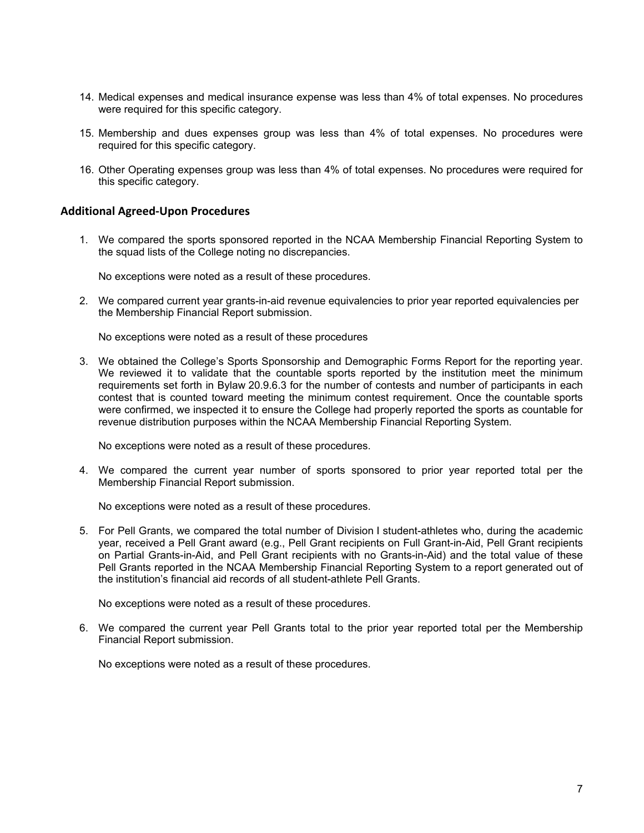- 14. Medical expenses and medical insurance expense was less than 4% of total expenses. No procedures were required for this specific category.
- 15. Membership and dues expenses group was less than 4% of total expenses. No procedures were required for this specific category.
- 16. Other Operating expenses group was less than 4% of total expenses. No procedures were required for this specific category.

#### **Additional Agreed‐Upon Procedures**

1. We compared the sports sponsored reported in the NCAA Membership Financial Reporting System to the squad lists of the College noting no discrepancies.

No exceptions were noted as a result of these procedures.

2. We compared current year grants-in-aid revenue equivalencies to prior year reported equivalencies per the Membership Financial Report submission.

No exceptions were noted as a result of these procedures

3. We obtained the College's Sports Sponsorship and Demographic Forms Report for the reporting year. We reviewed it to validate that the countable sports reported by the institution meet the minimum requirements set forth in Bylaw 20.9.6.3 for the number of contests and number of participants in each contest that is counted toward meeting the minimum contest requirement. Once the countable sports were confirmed, we inspected it to ensure the College had properly reported the sports as countable for revenue distribution purposes within the NCAA Membership Financial Reporting System.

No exceptions were noted as a result of these procedures.

4. We compared the current year number of sports sponsored to prior year reported total per the Membership Financial Report submission.

No exceptions were noted as a result of these procedures.

5. For Pell Grants, we compared the total number of Division I student-athletes who, during the academic year, received a Pell Grant award (e.g., Pell Grant recipients on Full Grant-in-Aid, Pell Grant recipients on Partial Grants-in-Aid, and Pell Grant recipients with no Grants-in-Aid) and the total value of these Pell Grants reported in the NCAA Membership Financial Reporting System to a report generated out of the institution's financial aid records of all student-athlete Pell Grants.

No exceptions were noted as a result of these procedures.

6. We compared the current year Pell Grants total to the prior year reported total per the Membership Financial Report submission.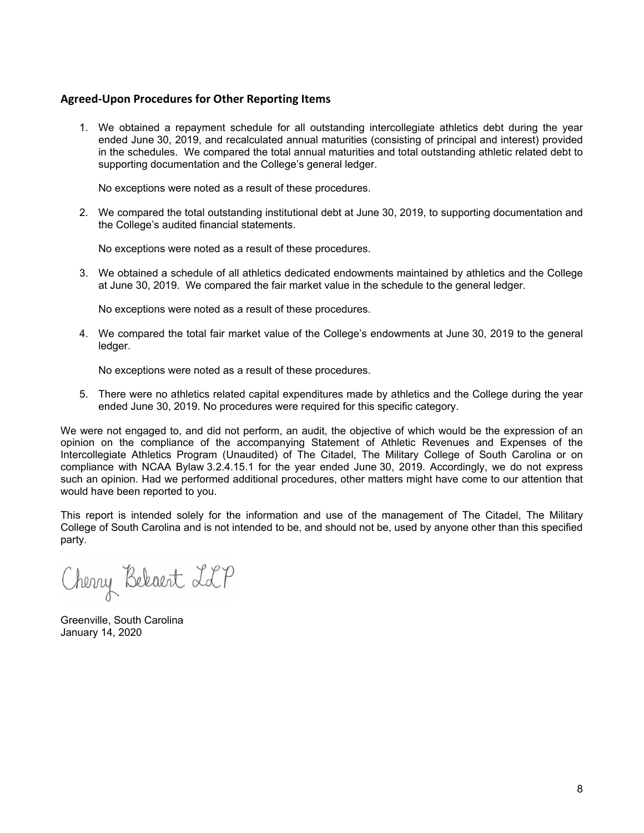#### **Agreed‐Upon Procedures for Other Reporting Items**

1. We obtained a repayment schedule for all outstanding intercollegiate athletics debt during the year ended June 30, 2019, and recalculated annual maturities (consisting of principal and interest) provided in the schedules. We compared the total annual maturities and total outstanding athletic related debt to supporting documentation and the College's general ledger.

No exceptions were noted as a result of these procedures.

2. We compared the total outstanding institutional debt at June 30, 2019, to supporting documentation and the College's audited financial statements.

No exceptions were noted as a result of these procedures.

3. We obtained a schedule of all athletics dedicated endowments maintained by athletics and the College at June 30, 2019. We compared the fair market value in the schedule to the general ledger.

No exceptions were noted as a result of these procedures.

4. We compared the total fair market value of the College's endowments at June 30, 2019 to the general ledger.

No exceptions were noted as a result of these procedures.

5. There were no athletics related capital expenditures made by athletics and the College during the year ended June 30, 2019. No procedures were required for this specific category.

We were not engaged to, and did not perform, an audit, the objective of which would be the expression of an opinion on the compliance of the accompanying Statement of Athletic Revenues and Expenses of the Intercollegiate Athletics Program (Unaudited) of The Citadel, The Military College of South Carolina or on compliance with NCAA Bylaw 3.2.4.15.1 for the year ended June 30, 2019. Accordingly, we do not express such an opinion. Had we performed additional procedures, other matters might have come to our attention that would have been reported to you.

This report is intended solely for the information and use of the management of The Citadel, The Military College of South Carolina and is not intended to be, and should not be, used by anyone other than this specified party.

Cherry Bekaert LLP

Greenville, South Carolina January 14, 2020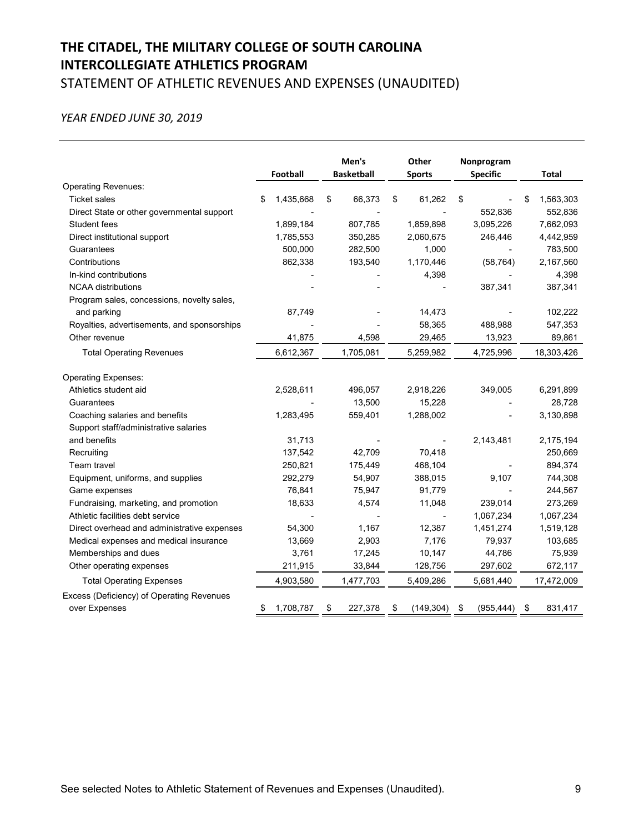# **THE CITADEL, THE MILITARY COLLEGE OF SOUTH CAROLINA INTERCOLLEGIATE ATHLETICS PROGRAM** STATEMENT OF ATHLETIC REVENUES AND EXPENSES (UNAUDITED)

### *YEAR ENDED JUNE 30, 2019*

|                                             | Football        |    | Other<br><b>Sports</b> |    | Men's<br>Nonprogram<br><b>Basketball</b><br><b>Specific</b> |    |            |    |            | <b>Total</b> |
|---------------------------------------------|-----------------|----|------------------------|----|-------------------------------------------------------------|----|------------|----|------------|--------------|
| <b>Operating Revenues:</b>                  |                 |    |                        |    |                                                             |    |            |    |            |              |
| <b>Ticket sales</b>                         | \$<br>1,435,668 | \$ | 66,373                 | \$ | 61,262                                                      | \$ |            | S  | 1,563,303  |              |
| Direct State or other governmental support  |                 |    |                        |    |                                                             |    | 552,836    |    | 552,836    |              |
| Student fees                                | 1,899,184       |    | 807,785                |    | 1,859,898                                                   |    | 3,095,226  |    | 7,662,093  |              |
| Direct institutional support                | 1,785,553       |    | 350,285                |    | 2,060,675                                                   |    | 246,446    |    | 4,442,959  |              |
| Guarantees                                  | 500,000         |    | 282,500                |    | 1,000                                                       |    |            |    | 783,500    |              |
| Contributions                               | 862,338         |    | 193,540                |    | 1,170,446                                                   |    | (58, 764)  |    | 2,167,560  |              |
| In-kind contributions                       |                 |    |                        |    | 4,398                                                       |    |            |    | 4,398      |              |
| <b>NCAA distributions</b>                   |                 |    |                        |    |                                                             |    | 387,341    |    | 387,341    |              |
| Program sales, concessions, novelty sales,  |                 |    |                        |    |                                                             |    |            |    |            |              |
| and parking                                 | 87,749          |    |                        |    | 14,473                                                      |    |            |    | 102,222    |              |
| Royalties, advertisements, and sponsorships |                 |    |                        |    | 58,365                                                      |    | 488,988    |    | 547,353    |              |
| Other revenue                               | 41,875          |    | 4,598                  |    | 29,465                                                      |    | 13,923     |    | 89,861     |              |
| <b>Total Operating Revenues</b>             | 6,612,367       |    | 1,705,081              |    | 5,259,982                                                   |    | 4,725,996  |    | 18,303,426 |              |
| Operating Expenses:                         |                 |    |                        |    |                                                             |    |            |    |            |              |
| Athletics student aid                       | 2,528,611       |    | 496,057                |    | 2,918,226                                                   |    | 349,005    |    | 6,291,899  |              |
| Guarantees                                  |                 |    | 13,500                 |    | 15,228                                                      |    |            |    | 28,728     |              |
| Coaching salaries and benefits              | 1,283,495       |    | 559,401                |    | 1,288,002                                                   |    |            |    | 3,130,898  |              |
| Support staff/administrative salaries       |                 |    |                        |    |                                                             |    |            |    |            |              |
| and benefits                                | 31,713          |    |                        |    |                                                             |    | 2,143,481  |    | 2,175,194  |              |
| Recruiting                                  | 137,542         |    | 42,709                 |    | 70,418                                                      |    |            |    | 250,669    |              |
| Team travel                                 | 250,821         |    | 175,449                |    | 468,104                                                     |    |            |    | 894,374    |              |
| Equipment, uniforms, and supplies           | 292,279         |    | 54,907                 |    | 388,015                                                     |    | 9,107      |    | 744,308    |              |
| Game expenses                               | 76,841          |    | 75,947                 |    | 91,779                                                      |    |            |    | 244,567    |              |
| Fundraising, marketing, and promotion       | 18,633          |    | 4,574                  |    | 11,048                                                      |    | 239,014    |    | 273,269    |              |
| Athletic facilities debt service            |                 |    |                        |    |                                                             |    | 1,067,234  |    | 1,067,234  |              |
| Direct overhead and administrative expenses | 54,300          |    | 1,167                  |    | 12,387                                                      |    | 1,451,274  |    | 1,519,128  |              |
| Medical expenses and medical insurance      | 13,669          |    | 2,903                  |    | 7,176                                                       |    | 79,937     |    | 103,685    |              |
| Memberships and dues                        | 3,761           |    | 17,245                 |    | 10,147                                                      |    | 44,786     |    | 75,939     |              |
| Other operating expenses                    | 211,915         |    | 33,844                 |    | 128,756                                                     |    | 297,602    |    | 672,117    |              |
| <b>Total Operating Expenses</b>             | 4,903,580       |    | 1,477,703              |    | 5,409,286                                                   |    | 5,681,440  |    | 17,472,009 |              |
| Excess (Deficiency) of Operating Revenues   |                 |    |                        |    |                                                             |    |            |    |            |              |
| over Expenses                               | 1,708,787       | \$ | 227,378                | \$ | (149, 304)                                                  | \$ | (955, 444) | \$ | 831,417    |              |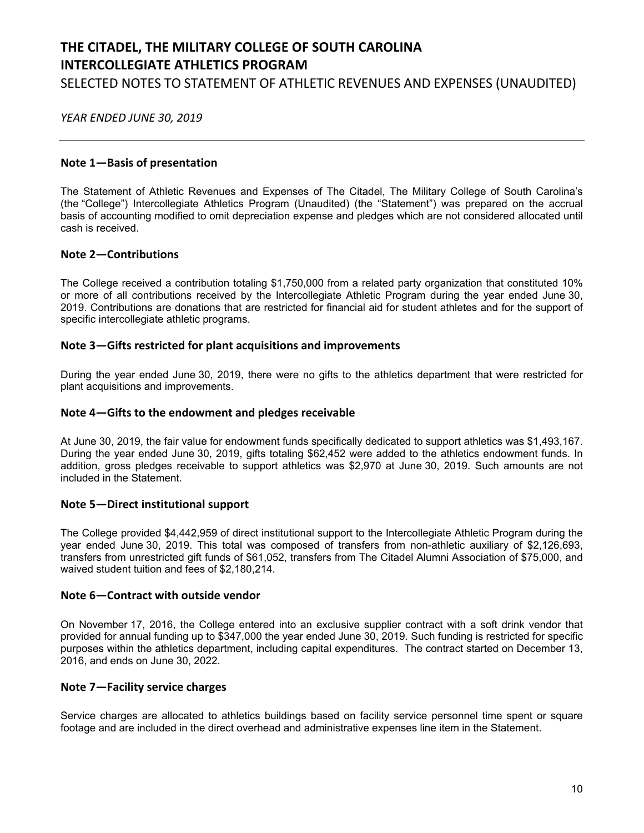# **THE CITADEL, THE MILITARY COLLEGE OF SOUTH CAROLINA INTERCOLLEGIATE ATHLETICS PROGRAM** SELECTED NOTES TO STATEMENT OF ATHLETIC REVENUES AND EXPENSES (UNAUDITED)

 *YEAR ENDED JUNE 30, 2019*

#### **Note 1—Basis of presentation**

The Statement of Athletic Revenues and Expenses of The Citadel, The Military College of South Carolina's (the "College") Intercollegiate Athletics Program (Unaudited) (the "Statement") was prepared on the accrual basis of accounting modified to omit depreciation expense and pledges which are not considered allocated until cash is received.

#### **Note 2—Contributions**

The College received a contribution totaling \$1,750,000 from a related party organization that constituted 10% or more of all contributions received by the Intercollegiate Athletic Program during the year ended June 30, 2019. Contributions are donations that are restricted for financial aid for student athletes and for the support of specific intercollegiate athletic programs.

### **Note 3—Gifts restricted for plant acquisitions and improvements**

During the year ended June 30, 2019, there were no gifts to the athletics department that were restricted for plant acquisitions and improvements.

## **Note 4—Gifts to the endowment and pledges receivable**

At June 30, 2019, the fair value for endowment funds specifically dedicated to support athletics was \$1,493,167. During the year ended June 30, 2019, gifts totaling \$62,452 were added to the athletics endowment funds. In addition, gross pledges receivable to support athletics was \$2,970 at June 30, 2019. Such amounts are not included in the Statement.

## **Note 5—Direct institutional support**

The College provided \$4,442,959 of direct institutional support to the Intercollegiate Athletic Program during the year ended June 30, 2019. This total was composed of transfers from non-athletic auxiliary of \$2,126,693, transfers from unrestricted gift funds of \$61,052, transfers from The Citadel Alumni Association of \$75,000, and waived student tuition and fees of \$2,180,214.

#### **Note 6—Contract with outside vendor**

On November 17, 2016, the College entered into an exclusive supplier contract with a soft drink vendor that provided for annual funding up to \$347,000 the year ended June 30, 2019. Such funding is restricted for specific purposes within the athletics department, including capital expenditures. The contract started on December 13, 2016, and ends on June 30, 2022.

#### **Note 7—Facility service charges**

Service charges are allocated to athletics buildings based on facility service personnel time spent or square footage and are included in the direct overhead and administrative expenses line item in the Statement.